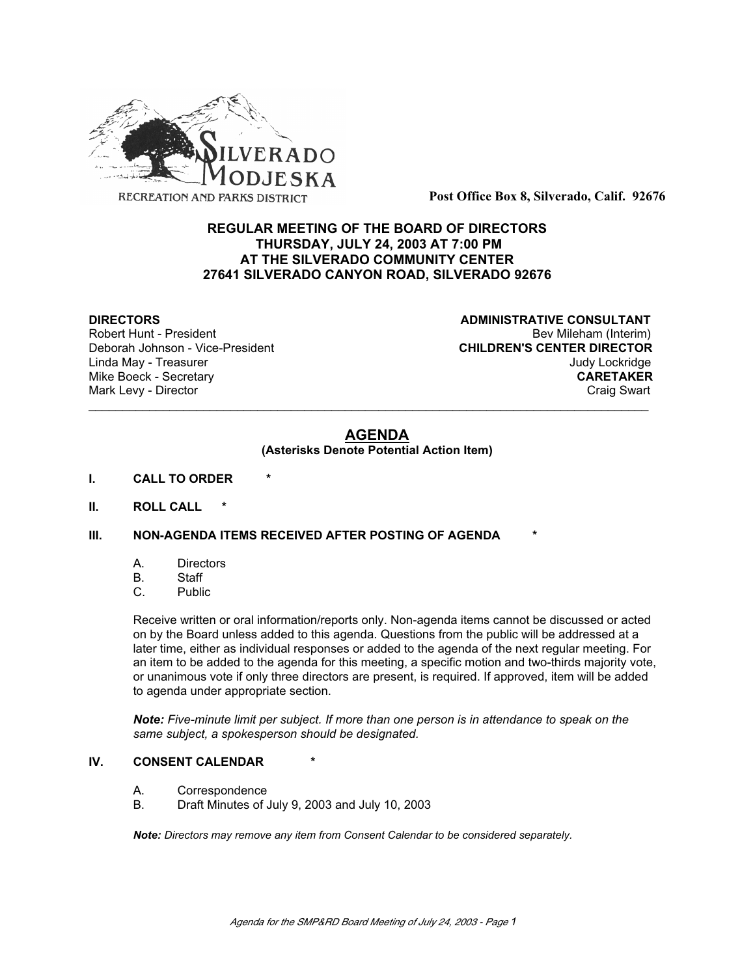

**Post Office Box 8, Silverado, Calif. 92676**

# **REGULAR MEETING OF THE BOARD OF DIRECTORS THURSDAY, JULY 24, 2003 AT 7:00 PM AT THE SILVERADO COMMUNITY CENTER 27641 SILVERADO CANYON ROAD, SILVERADO 92676**

Deborah Johnson - Vice-President

**DIRECTORS CONSULTANT** Robert Hunt - President and Robert Hunt - President and Robert Hunt - President and Robert Hunt - Bev Mileham (Interim)<br>
Deborah Johnson - Vice-President and Robert and Robert CHILDREN'S CENTER DIRECTOR Linda May - Treasurer Judy Lockridge Mike Boeck - Secretary **CARETAKER** Mark Levy - Director **Craig Swart** Craig Swart Craig Swart Craig Swart

# **AGENDA**

\_\_\_\_\_\_\_\_\_\_\_\_\_\_\_\_\_\_\_\_\_\_\_\_\_\_\_\_\_\_\_\_\_\_\_\_\_\_\_\_\_\_\_\_\_\_\_\_\_\_\_\_\_\_\_\_\_\_\_\_\_\_\_\_\_\_\_\_\_\_\_\_\_\_\_\_\_\_\_\_\_\_\_

## **(Asterisks Denote Potential Action Item)**

- **I. CALL TO ORDER \***
- **II. ROLL CALL \***

# **III. NON-AGENDA ITEMS RECEIVED AFTER POSTING OF AGENDA**

- A. Directors
- B. Staff
- C. Public

Receive written or oral information/reports only. Non-agenda items cannot be discussed or acted on by the Board unless added to this agenda. Questions from the public will be addressed at a later time, either as individual responses or added to the agenda of the next regular meeting. For an item to be added to the agenda for this meeting, a specific motion and two-thirds majority vote, or unanimous vote if only three directors are present, is required. If approved, item will be added to agenda under appropriate section.

*Note: Five-minute limit per subject. If more than one person is in attendance to speak on the same subject, a spokesperson should be designated.*

### **IV. CONSENT CALENDAR**

- A. Correspondence
- B. Draft Minutes of July 9, 2003 and July 10, 2003

*Note: Directors may remove any item from Consent Calendar to be considered separately.*